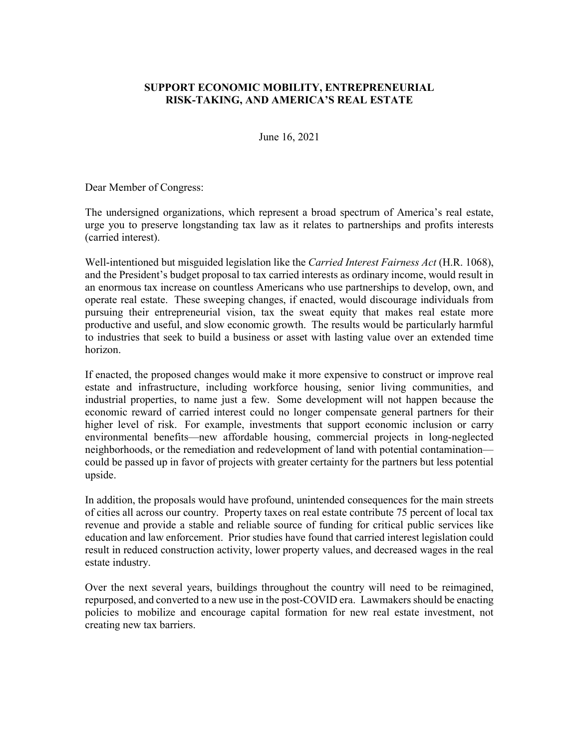## **SUPPORT ECONOMIC MOBILITY, ENTREPRENEURIAL RISK-TAKING, AND AMERICA'S REAL ESTATE**

June 16, 2021

Dear Member of Congress:

The undersigned organizations, which represent a broad spectrum of America's real estate, urge you to preserve longstanding tax law as it relates to partnerships and profits interests (carried interest).

Well-intentioned but misguided legislation like the *Carried Interest Fairness Act* (H.R. 1068), and the President's budget proposal to tax carried interests as ordinary income, would result in an enormous tax increase on countless Americans who use partnerships to develop, own, and operate real estate. These sweeping changes, if enacted, would discourage individuals from pursuing their entrepreneurial vision, tax the sweat equity that makes real estate more productive and useful, and slow economic growth. The results would be particularly harmful to industries that seek to build a business or asset with lasting value over an extended time horizon.

If enacted, the proposed changes would make it more expensive to construct or improve real estate and infrastructure, including workforce housing, senior living communities, and industrial properties, to name just a few. Some development will not happen because the economic reward of carried interest could no longer compensate general partners for their higher level of risk. For example, investments that support economic inclusion or carry environmental benefits—new affordable housing, commercial projects in long-neglected neighborhoods, or the remediation and redevelopment of land with potential contamination could be passed up in favor of projects with greater certainty for the partners but less potential upside.

In addition, the proposals would have profound, unintended consequences for the main streets of cities all across our country. Property taxes on real estate contribute 75 percent of local tax revenue and provide a stable and reliable source of funding for critical public services like education and law enforcement. Prior studies have found that carried interest legislation could result in reduced construction activity, lower property values, and decreased wages in the real estate industry.

Over the next several years, buildings throughout the country will need to be reimagined, repurposed, and converted to a new use in the post-COVID era. Lawmakers should be enacting policies to mobilize and encourage capital formation for new real estate investment, not creating new tax barriers.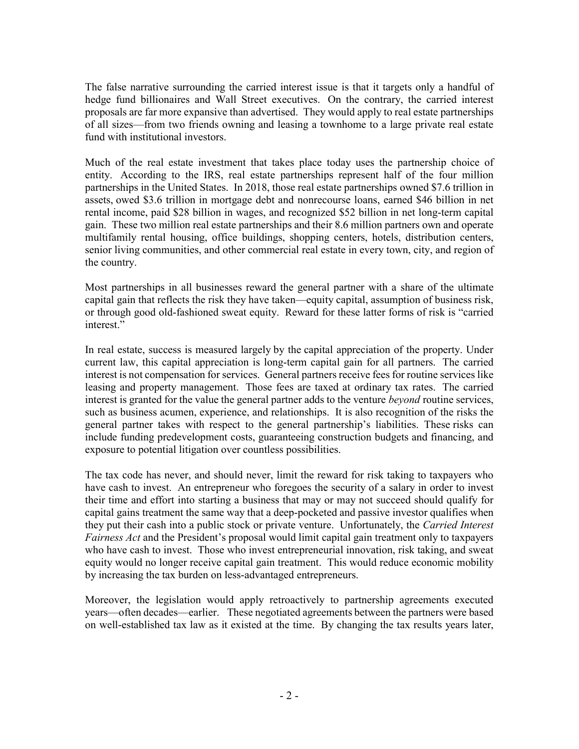The false narrative surrounding the carried interest issue is that it targets only a handful of hedge fund billionaires and Wall Street executives. On the contrary, the carried interest proposals are far more expansive than advertised. They would apply to real estate partnerships of all sizes—from two friends owning and leasing a townhome to a large private real estate fund with institutional investors.

Much of the real estate investment that takes place today uses the partnership choice of entity. According to the IRS, real estate partnerships represent half of the four million partnerships in the United States. In 2018, those real estate partnerships owned \$7.6 trillion in assets, owed \$3.6 trillion in mortgage debt and nonrecourse loans, earned \$46 billion in net rental income, paid \$28 billion in wages, and recognized \$52 billion in net long-term capital gain. These two million real estate partnerships and their 8.6 million partners own and operate multifamily rental housing, office buildings, shopping centers, hotels, distribution centers, senior living communities, and other commercial real estate in every town, city, and region of the country.

Most partnerships in all businesses reward the general partner with a share of the ultimate capital gain that reflects the risk they have taken—equity capital, assumption of business risk, or through good old-fashioned sweat equity. Reward for these latter forms of risk is "carried interest."

In real estate, success is measured largely by the capital appreciation of the property. Under current law, this capital appreciation is long-term capital gain for all partners. The carried interest is not compensation for services. General partners receive fees for routine services like leasing and property management. Those fees are taxed at ordinary tax rates. The carried interest is granted for the value the general partner adds to the venture *beyond* routine services, such as business acumen, experience, and relationships. It is also recognition of the risks the general partner takes with respect to the general partnership's liabilities. These risks can include funding predevelopment costs, guaranteeing construction budgets and financing, and exposure to potential litigation over countless possibilities.

The tax code has never, and should never, limit the reward for risk taking to taxpayers who have cash to invest. An entrepreneur who foregoes the security of a salary in order to invest their time and effort into starting a business that may or may not succeed should qualify for capital gains treatment the same way that a deep-pocketed and passive investor qualifies when they put their cash into a public stock or private venture. Unfortunately, the *Carried Interest Fairness Act* and the President's proposal would limit capital gain treatment only to taxpayers who have cash to invest. Those who invest entrepreneurial innovation, risk taking, and sweat equity would no longer receive capital gain treatment. This would reduce economic mobility by increasing the tax burden on less-advantaged entrepreneurs.

Moreover, the legislation would apply retroactively to partnership agreements executed years—often decades—earlier. These negotiated agreements between the partners were based on well-established tax law as it existed at the time. By changing the tax results years later,